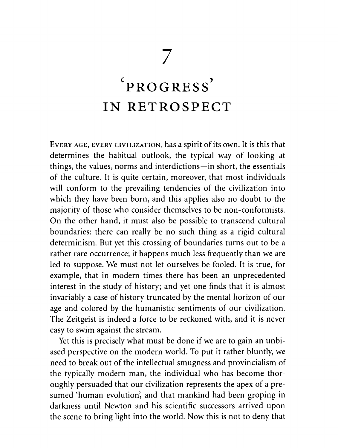## ' **PROGRESS** ' **IN RETROSPECT**

EVERY AGE, EVERY CIVILIZATION, has a spirit of its own. It is this that determines the habitual outlook, the typical way of looking at things, the values, norms and interdictions-in short, the essentials of the culture. It is quite certain, moreover, that most individuals will conform to the prevailing tendencies of the civilization into which they have been born, and this applies also no doubt to the majority of those who consider themselves to be non-conformists. On the other hand, it must also be possible to transcend cultural boundaries: there can really be no such thing as a rigid cultural determinism. But yet this crossing of boundaries turns out to be a rather rare occurrence; it happens much less frequently than we are led to suppose. We must not let ourselves be fooled. It is true, for example, that in modern times there has been an unprecedented interest in the study of history; and yet one finds that it is almost invariably a case of history truncated by the mental horizon of our age and colored by the humanistic sentiments of our civilization. The Zeitgeist is indeed a force to be reckoned with, and it is never easy to swim against the stream.

Yet this is precisely what must be done if we are to gain an unbiased perspective on the modern world. To put it rather bluntly, we need to break out of the intellectual smugness and provincialism of the typically modern man, the individual who has become thoroughly persuaded that our civilization represents the apex of a presumed 'human evolution', and that mankind had been groping in darkness until Newton and his scientific successors arrived upon the scene to bring light into the world. Now this is not to deny that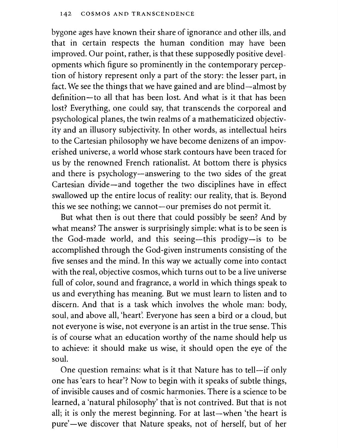bygone ages have known their share of ignorance and other ills, and that in certain respects the human condition may have been improved. Our point, rather, is that these supposedly positive developments which figure so prominently in the contemporary perception of history represent only a part of the story: the lesser part, in fact. We see the things that we have gained and are blind-almost by definition-to all that has been lost. And what is it that has been lost? Everything, one could say, that transcends the corporeal and psychological planes, the twin realms of a mathematicized objectivity and an illusory subjectivity. In other words, as intellectual heirs to the Cartesian philosophy we have become denizens of an impoverished universe, a world whose stark contours have been traced for us by the renowned French rationalist. At bottom there is physics and there is psychology-answering to the two sides of the great Cartesian divide-and together the two disciplines have in effect swallowed up the entire locus of reality: our reality, that is. Beyond this we see nothing; we cannot-our premises do not permit it.

But what then is out there that could possibly be seen? And by what means? The answer is surprisingly simple: what is to be seen is the God-made world, and this seeing-this prodigy-is to be accomplished through the God-given instruments consisting of the five senses and the mind. In this way we actually come into contact with the real, objective cosmos, which turns out to be a live universe full of color, sound and fragrance, a world in which things speak to us and everything has meaning. But we must learn to listen and to discern. And that is a task which involves the whole man: body, soul, and above all, 'heart'. Everyone has seen a bird or a cloud, but not everyone is wise, not everyone is an artist in the true sense. This is of course what an education worthy of the name should help us to achieve: it should make us wise, it should open the eye of the soul.

One question remains: what is it that Nature has to tell-if only one has 'ears to hear'? Now to begin with it speaks of subtle things, of invisible causes and of cosmic harmonies. There is a science to be learned, a 'natural philosophy' that 'is not contrived. But that is not all; it is only the merest beginning. For at last-when 'the heart is pure'-we discover that Nature speaks, not of herself, but of her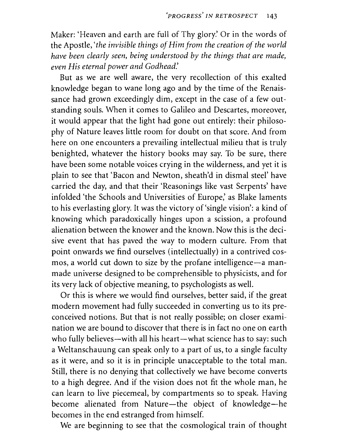Maker: 'Heaven and earth are full of Thy glory.' Or in the words of the Apostle, *'the invisible things of Him from the creation of the world have been clearly seen, being understood by the things that are made, even His eternal power and Godhead.'* 

But as we are well aware, the very recollection of this exalted knowledge began to wane long ago and by the time of the Renaissance had grown exceedingly dim, except in the case of a few outstanding souls. When it comes to Galileo and Descartes, moreover, it would appear that the light had gone out entirely: their philosophy of Nature leaves little room for doubt on that score. And from here on one encounters a prevailing intellectual milieu that is truly benighted, whatever the history books may say. To be sure, there have been some notable voices crying in the wilderness, and yet it is plain to see that 'Bacon and Newton, sheath'd in dismal steel' have carried the day, and that their 'Reasonings like vast Serpents' have infolded 'the Schools and Universities of Europe; as Blake laments to his everlasting glory. It was the victory of 'single vision': a kind of knowing which paradoxically hinges upon a scission, a profound alienation between the knower and the known. Now this is the decisive event that has paved the way to modern culture. From that point onwards we find ourselves (intellectually) in a contrived cosmos, a world cut down to size by the profane intelligence-a manmade universe designed to be comprehensible to physicists, and for its very lack of objective meaning, to psychologists as well.

Or this is where we would find ourselves, better said, if the great modern movement had fully succeeded in converting us to its preconceived notions. But that is not really possible; on closer examination we are bound to discover that there is in fact no one on earth who fully believes-with all his heart-what science has to say: such a Weltanschauung can speak only to a part of us, to a single faculty as it were, and so it is in principle unacceptable to the total man. Still, there is no denying that collectively we have become converts to a high degree. And if the vision does not fit the whole man, he can learn to live piecemeal, by compartments so to speak. Having become alienated from Nature-the object of knowledge-he becomes in the end estranged from himself.

We are beginning to see that the cosmological train of thought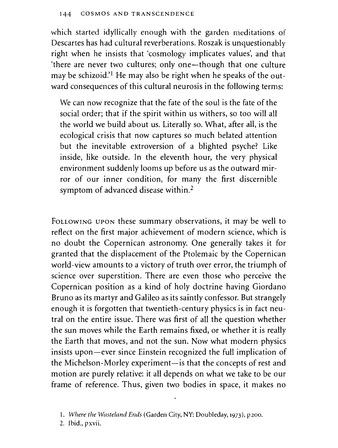which started idyllically enough with the garden meditations of Descartes has had cultural reverberations. Roszak is unquestionably right when he insists that 'cosmology implicates values', and that 'there are never two cultures; only one-though that one culture may be schizoid.<sup>'1</sup> He may also be right when he speaks of the outward consequences of this cultural neurosis in the following terms:

We can now recognize that the fate of the soul is the fate of the social order; that if the spirit within us withers, so too will all the world we build about us. Literally so. What, after all, is the ecological crisis that now captures so much belated attention but the inevitable extroversion of a blighted psyche? Like inside, like outside. In the eleventh hour, the very physical environment suddenly looms up before us as the outward mirror of our inner condition, for many the first discernible symptom of advanced disease within. 2

FoLLOWING UPON these summary observations, it may be well to reflect on the first major achievement of modern science, which is no doubt the Copernican astronomy. One generally takes it for granted that the displacement of the Ptolemaic by the Copernican world-view amounts to a victory of truth over error, the triumph of science over superstition. There are even those who perceive the Copernican position as a kind of holy doctrine having Giordano Bruno as its martyr and Galileo as its saintly confessor. But strangely enough it is forgotten that twentieth-century physics is in fact neutral on the entire issue. There was first of all the question whether the sun moves while the Earth remains fixed, or whether it is really the Earth that moves, and not the sun. Now what modern physics insists upon—ever since Einstein recognized the full implication of the Michelson-Morley experiment-is that the concepts of rest and motion are purely relative: it all depends on what we take to be our frame of reference. Thus, given two bodies in space, it makes no

2. Ibid., pxvii.

<sup>1.</sup> Where the Wasteland Ends (Garden City, NY: Doubleday, 1973), p200.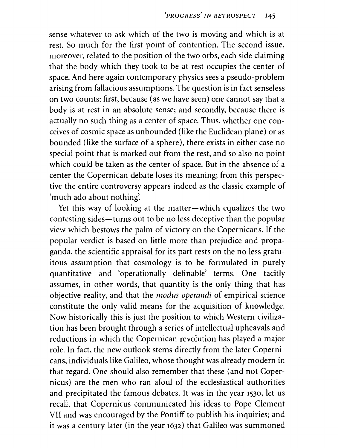sense whatever to ask which of the two is moving and which is at rest. So much for the first point of contention. The second issue, moreover, related to the position of the two orbs, each side claiming that the body which they took to be at rest occupies the center of space. And here again contemporary physics sees a pseudo-problem arising from fallacious assumptions. The question is in fact senseless on two counts: first, because (as we have seen) one cannot say that a body is at rest in an absolute sense; and secondly, because there is actually no such thing as a center of space. Thus, whether one conceives of cosmic space as unbounded (like the Euclidean plane) or as bounded (like the surface of a sphere), there exists in either case no special point that is marked out from the rest, and so also no point which could be taken as the center of space. But in the absence of a center the Copernican debate loses its meaning; from this perspective the entire controversy appears indeed as the classic example of 'much ado about nothing'.

Yet this way of looking at the matter-which equalizes the two contesting sides-turns out to be no less deceptive than the popular view which bestows the palm of victory on the Copernicans. If the popular verdict is based on little more than prejudice and propaganda, the scientific appraisal for its part rests on the no less gratuitous assumption that cosmology is to be formulated in purely quantitative and 'operationally definable' terms. One tacitly assumes, in other words, that quantity is the only thing that has objective reality, and that the *modus operandi* of empirical science constitute the only valid means for the acquisition of knowledge. Now historically this is just the position to which Western civilization has been brought through a series of intellectual upheavals and reductions in which the Copernican revolution has played a major role. In fact, the new outlook stems directly from the later Copernicans, individuals like Galileo, whose thought was already modern in that regard. One should also remember that these (and not Copernicus) are the men who ran afoul of the ecclesiastical authorities and precipitated the famous debates. It was in the year 1530, let us recall, that Copernicus communicated his ideas to Pope Clement VII and was encouraged by the Pontiff to publish his inquiries; and it was a century later (in the year 1632) that Galileo was summoned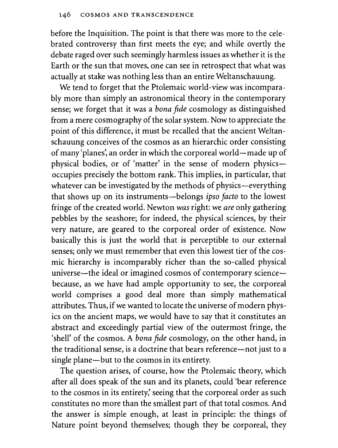before the Inquisition. The point is that there was more to the celebrated controversy than first meets the eye; and while overtly the debate raged over such seemingly harmless issues as whether it is the Earth or the sun that moves, one can see in retrospect that what was actually at stake was nothing less than an entire Weltanschauung.

We tend to forget that the Ptolemaic world-view was incomparably more than simply an astronomical theory in the contemporary sense; we forget that it was a *bona fide* cosmology as distinguished from a mere cosmography of the solar system. Now to appreciate the point of this difference, it must be recalled that the ancient Weltanschauung conceives of the cosmos as an hierarchic order consisting of many 'planes', an order in which the corporeal world-made up of physical bodies, or of 'matter' in the sense of modern physicsoccupies precisely the bottom rank. This implies, in particular, that whatever can be investigated by the methods of physics-everything that shows up on its instruments-belongs *ipso facto* to the lowest fringe of the created world. Newton *was* right: we *are* only gathering pebbles by the seashore; for indeed, the physical sciences, by their very nature, are geared to the corporeal order of existence. Now basically this is just the world that is perceptible to our external senses; only we must remember that even this lowest tier of the cosmic hierarchy is incomparably richer than the so-called physical universe-the ideal or imagined cosmos of contemporary sciencebecause, as we have had ample opportunity to see, the corporeal world comprises a good deal more than simply mathematical attributes. Thus, if we wanted to locate the universe of modern physics on the ancient maps, we would have to say that it constitutes an abstract and exceedingly partial view of the outermost fringe, the 'shell' of the cosmos. A *bona fide* cosmology, on the other hand, in the traditional sense, is a doctrine that bears reference--not just to a single plane-but to the cosmos in its entirety.

The question arises, of course, how the Ptolemaic theory, which after all does speak of the sun and its planets, could 'bear reference to the cosmos in its entirety; seeing that the corporeal order as such constitutes no more than the smallest part of that total cosmos. And the answer is simple enough, at least in principle: the things of Nature point beyond themselves; though they be corporeal, they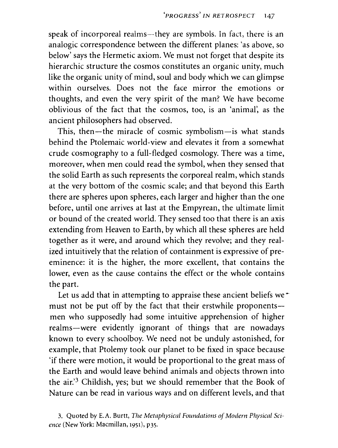speak of incorporeal realms-they are symbols. In fact, there is an analogic correspondence between the different planes: 'as above, so below' says the Hermetic axiom. We must not forget that despite its hierarchic structure the cosmos constitutes an organic unity, much like the organic unity of mind, soul and body which we can glimpse within ourselves. Does not the face mirror the emotions or thoughts, and even the very spirit of the man? We have become oblivious of the fact that the cosmos, too, is an 'animal', as the ancient philosophers had observed.

This, then-the miracle of cosmic symbolism-is what stands behind the Ptolemaic world-view and elevates it from a somewhat crude cosmography to a full-fledged cosmology. There was a time, moreover, when men could read the symbol, when they sensed that the solid Earth as such represents the corporeal realm, which stands at the very bottom of the cosmic scale; and that beyond this Earth there are spheres upon spheres, each larger and higher than the one before, until one arrives at last at the Empyrean, the ultimate limit or bound of the created world. They sensed too that there is an axis extending from Heaven to Earth, by which all these spheres are held together as it were, and around which they revolve; and they realized intuitively that the relation of containment is expressive of preeminence: it is the higher, the more excellent, that contains the lower, even as the cause contains the effect or the whole contains the part.

Let us add that in attempting to appraise these ancient beliefs we  $\overline{\phantom{a}}$ must not be put off by the fact that their erstwhile proponentsmen who supposedly had some intuitive apprehension of higher realms-were evidently ignorant of things that are nowadays known to every schoolboy. We need not be unduly astonished, for example, that Ptolemy took our planet to be fixed in space because 'if there were motion, it would be proportional to the great mass of the Earth and would leave behind animals and objects thrown into the air.<sup>3</sup> Childish, yes; but we should remember that the Book of Nature can be read in various ways and on different levels, and that

<sup>3.</sup> Quoted by E. A. Burtt, *The Metaphysical Foundations of Modern Physical Science* (New York: Macmillan, 1951), P35·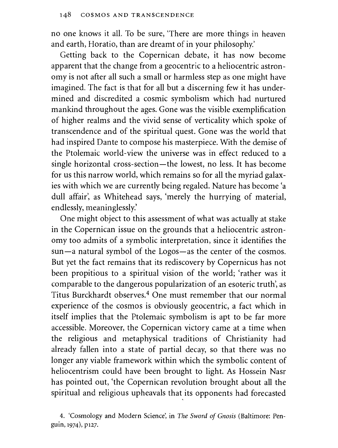no one knows it all. To be sure, 'There are more things in heaven and earth, Horatio, than are dreamt of in your philosophy.'

Getting back to the Copernican debate, it has now become apparent that the change from a geocentric to a heliocentric astronomy is not after all such a small or harmless step as one might have imagined. The fact is that for all but a discerning few it has undermined and discredited a cosmic symbolism which had nurtured mankind throughout the ages. Gone was the visible exemplification of higher realms and the vivid sense of verticality which spoke of transcendence and of the spiritual quest. Gone was the world that had inspired Dante to compose his masterpiece. With the demise of the Ptolemaic world-view the universe was in effect reduced to a single horizontal cross-section—the lowest, no less. It has become for us this narrow world, which remains so for all the myriad galaxies with which we are currently being regaled. Nature has become 'a dull affair', as Whitehead says, 'merely the hurrying of material, endlessly, meaninglessly.'

One might object to this assessment of what was actually at stake in the Copernican issue on the grounds that a heliocentric astronomy too admits of a symbolic interpretation, since it identifies the sun-a natural symbol of the Logos-as the center of the cosmos. But yet the fact remains that its rediscovery by Copernicus has not been propitious to a spiritual vision of the world; 'rather was it comparable to the dangerous popularization of an esoteric truth', as Titus Burckhardt observes.<sup>4</sup> One must remember that our normal experience of the cosmos is obviously geocentric, a fact which in itself implies that the Ptolemaic symbolism is apt to be far more accessible. Moreover, the Copernican victory came at a time when the religious and metaphysical traditions of Christianity had already fallen into a state of partial decay, so that there was no longer any viable framework within which the symbolic content of heliocentrism could have been brought to light. As Hossein Nasr has pointed out, 'the Copernican revolution brought about all the spiritual and religious upheavals that its opponents had forecasted

<sup>4.</sup> 'Cosmology and Modern Science', in *The Sword of Gnosis* (Baltimore: Penguin, 1974), p127.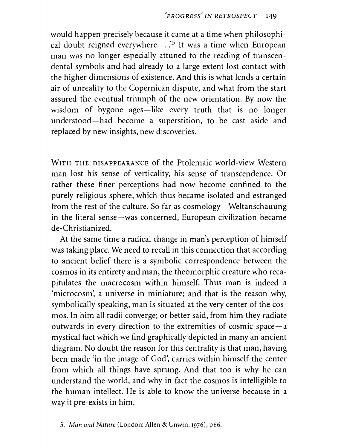would happen precisely because it came at a time when philosophical doubt reigned everywhere....'<sup>5</sup> It was a time when European man was no longer especially attuned to the reading of transcendental symbols and had already to a large extent lost contact with the higher dimensions of existence. And this is what lends a certain air of unreality to the Copernican dispute, and what from the start assured the eventual triumph of the new orientation. By now the wisdom of bygone ages-like every truth that is no longer understood-had become a superstition, to be cast aside and replaced by new insights, new discoveries.

WITH THE DISAPPEARANCE of the Ptolemaic world-view Western man lost his sense of verticality, his sense of transcendence. Or rather these finer perceptions had now become confined to the purely religious sphere, which thus became isolated and estranged from the rest of the culture. So far as cosmology-Weltanschauung in the literal sense-was concerned, European civilization became de-Christianized.

At the same time a radical change in man's perception of himself was taking place. We need to recall in this connection that according to ancient belief there is a symbolic correspondence between the cosmos in its entirety and man, the theomorphic creature who recapitulates the macrocosm within himself. Thus man is indeed a 'microcosm', a universe in miniature; and that is the reason why, symbolically speaking, man is situated at the very center of the cosmos. In him all radii converge; or better said, from him they radiate outwards in every direction to the extremities of cosmic space-a mystical fact which we find graphically depicted in many an ancient diagram. No doubt the reason for this centrality is that man, having been made 'in the image of God', carries within himself the center from which all things have sprung. And that too is why he can understand the world, and why in fact the cosmos is intelligible to the human intellect. He is able to know the universe because in a way it pre-exists in him.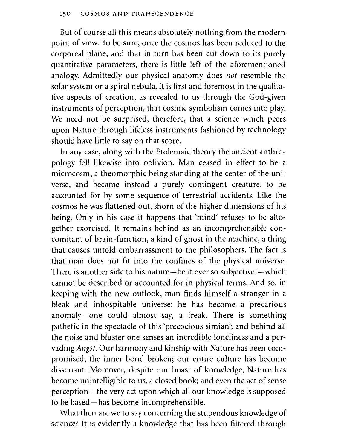But of course all this means absolutely nothing from the modern point of view. To be sure, once the cosmos has been reduced to the corporeal plane, and that in turn has been cut down to its purely quantitative parameters, there is little left of the aforementioned analogy. Admittedly our physical anatomy does *not* resemble the solar system or a spiral nebula. It is first and foremost in the qualitative aspects of creation, as revealed to us through the God-given instruments of perception, that cosmic symbolism comes into play. We need not be surprised, therefore, that a science which peers upon Nature through lifeless instruments fashioned by technology should have little to say on that score.

In any case, along with the Ptolemaic theory the ancient anthropology fell likewise into oblivion. Man ceased in effect to be a microcosm, a theomorphic being standing at the center of the universe, and became instead a purely contingent creature, to be accounted for by some sequence of terrestrial accidents. Like the cosmos he was flattened out, shorn of the higher dimensions of his being. Only in his case it happens that 'mind' refuses to be altogether exorcised. It remains behind as an incomprehensible concomitant of brain-function, a kind of ghost in the machine, a thing that causes untold embarrassment to the philosophers. The fact is that man does not fit into the confines of the physical universe. There is another side to his nature-be it ever so subjective!-which cannot be described or accounted for in physical terms. And so, in keeping with the new outlook, man finds himself a stranger in a bleak and inhospitable universe; he has become a precarious anomaly-one could almost say, a freak. There is something pathetic in the spectacle of this 'precocious simian'; and behind all the noise and bluster one senses an incredible loneliness and a pervading *Angst.* Our harmony and kinship with Nature has been compromised, the inner bond broken; our entire culture has become dissonant. Moreover, despite our boast of knowledge, Nature has become unintelligible to us, a closed book; and even the act of sense perception-the very act upon which all our knowledge is supposed to be based-has become incomprehensible.

What then are we to say concerning the stupendous knowledge of science? It is evidently a knowledge that has been filtered through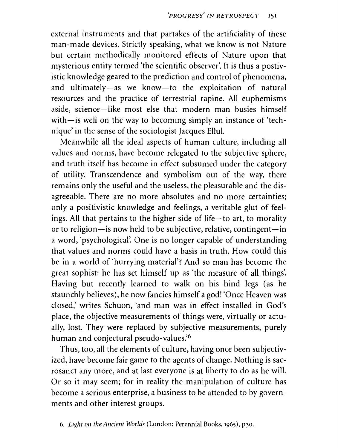external instruments and that partakes of the artificiality of these man-made devices. Strictly speaking, what we know is not Nature but certain methodically monitored effects of Nature upon that mysterious entity termed 'the scientific observer'. It is thus a postivistic knowledge geared to the prediction and control of phenomena, and ultimately-as we know-to the exploitation of natural resources and the practice of terrestrial rapine. All euphemisms aside, science-like most else that modern man busies himself with-is well on the way to becoming simply an instance of 'technique' in the sense of the sociologist Jacques Ellul.

Meanwhile all the ideal aspects of human culture, including all values and norms, have become relegated to the subjective sphere, and truth itself has become in effect subsumed under the category of utility. Transcendence and symbolism out of the way, there remains only the useful and the useless, the pleasurable and the disagreeable. There are no more absolutes and no more certainties; only a positivistic knowledge and feelings, a veritable glut of feelings. All that pertains to the higher side of life-to art, to morality or to religion-is now held to be subjective, relative, contingent-in a word, 'psychological'. One is no longer capable of understanding that values and norms could have a basis in truth. How could this be in a world of 'hurrying material'? And so man has become the great sophist: he has set himself up as 'the measure of all things'. Having but recently learned to walk on his hind legs (as he staunchly believes), he now fancies himself a god! 'Once Heaven was closed,' writes Schuon, 'and man was in effect installed in God's place, the objective measurements of things were, virtually or actually, lost. They were replaced by subjective measurements, purely human and conjectural pseudo-values.'6

Thus, too, all the elements of culture, having once been subjectivized, have become fair game to the agents of change. Nothing is sacrosanct any more, and at last everyone is at liberty to do as he will. Or so it may seem; for in reality the manipulation of culture has become a serious enterprise, a business to be attended to by governments and other interest groups.

6. *Light* 011 *the Ancient Worlds* (London: Perennial Books, 1965), p30.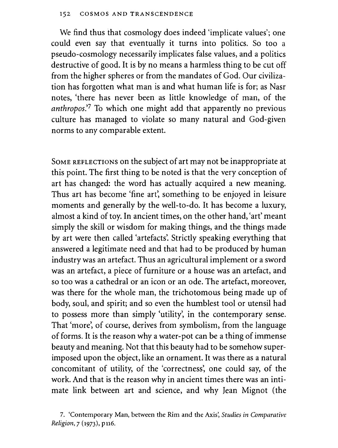We find thus that cosmology does indeed 'implicate values'; one could even say that eventually it turns into politics. So too a pseudo-cosmology necessarily implicates false values, and a politics destructive of good. It is by no means a harmless thing to be cut off from the higher spheres or from the mandates of God. Our civilization has forgotten what man is and what human life is for; as Nasr notes, 'there has never been as little knowledge of man, of the *anthropos.'7* To which one might add that apparently no previous culture has managed to violate so many natural and God-given norms to any comparable extent.

SoME REFLECTIONS on the subject of art may not be inappropriate at this point. The first thing to be noted is that the very conception of art has changed: the word has actually acquired a new meaning. Thus art has become 'fine art', something to be enjoyed in leisure moments and generally by the well-to-do. It has become a luxury, almost a kind of toy. In ancient times, on the other hand, 'art' meant simply the skill or wisdom for making things, and the things made by art were then called 'artefacts'. Strictly speaking everything that answered a legitimate need and that had to be produced by human industry was an artefact. Thus an agricultural implement or a sword was an artefact, a piece of furniture or a house was an artefact, and so too was a cathedral or an icon or an ode. The artefact, moreover, was there for the whole man, the trichotomous being made up of body, soul, and spirit; and so even the humblest tool or utensil had to possess more than simply 'utility', in the contemporary sense. That 'more', of course, derives from symbolism, from the language of forms. It is the reason why a water-pot can be a thing of immense beauty and meaning. Not that this beauty had to be somehow superimposed upon the object, like an ornament. It was there as a natural concomitant of utility, of the 'correctness', one could say, of the work. And that is the reason why in ancient times there was an intimate link between art and science, and why Jean Mignot (the

<sup>7. &#</sup>x27;Contemporary Man, between the Rim and the Axis', *Studies in Comparative Religion, 7* (1973), p116.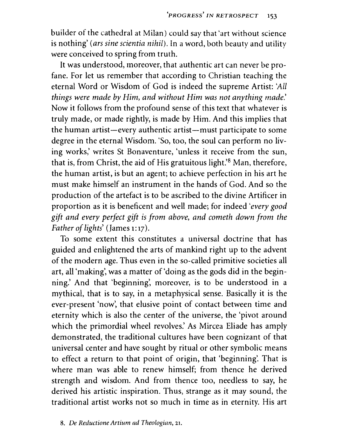builder of the cathedral at Milan) could say that 'art without science is nothing' *(ars sine scientia nihil).* In a word, both beauty and utility were conceived to spring from truth.

It was understood, moreover, that authentic art can never be profane. For let us remember that according to Christian teaching the eternal Word or Wisdom of God is indeed the supreme Artist: 'All *things were made by Him, and without Him was not anything made.'*  Now it follows from the profound sense of this text that whatever is truly made, or made rightly, is made by Him. And this implies that the human artist-every authentic artist-must participate to some degree in the eternal Wisdom. 'So, too, the soul can perform no living works,' writes St Bonaventure, 'unless it receive from the sun, that is, from Christ, the aid of His gratuitous light.'8 Man, therefore, the human artist, is but an agent; to achieve perfection in his art he must make himself an instrument in the hands of God. And so the production of the artefact is to be ascribed to the divine Artificer in proportion as it is beneficent and well made; for indeed *'every good gift and every perfect gift is from above, and cometh down from the Father of lights'* (James 1:17).

To some extent this constitutes a universal doctrine that has guided and enlightened the arts of mankind right up to the advent of the modern age. Thus even in the so-called primitive societies all art, all 'making', was a matter of 'doing as the gods did in the beginning.' And that 'beginning', moreover, is to be understood in a mythical, that is to say, in a metaphysical sense. Basically it is the ever-present 'now', that elusive point of contact between time and eternity which is also the center of the universe, the 'pivot around which the primordial wheel revolves.' As Mircea Eliade has amply demonstrated, the traditional cultures have been cognizant of that universal center and have sought by ritual or other symbolic means to effect a return to that point of origin, that 'beginning'. That is where man was able to renew himself; from thence he derived strength and wisdom. And from thence too, needless to say, he derived his artistic inspiration. Thus, strange as it may sound, the traditional artist works not so much in time as in eternity. His art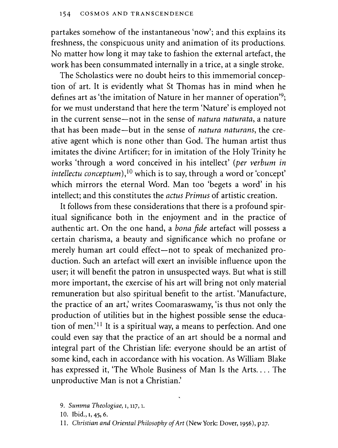partakes somehow of the instantaneous 'now'; and this explains its freshness, the conspicuous unity and animation of its productions. No matter how long it may take to fashion the external artefact, the work has been consummated internally in a trice, at a single stroke.

The Scholastics were no doubt heirs to this immemorial conception of art. It is evidently what St Thomas has in mind when he defines art as 'the imitation of Nature in her manner of operation'9; for we must understand that here the term 'Nature' is employed not in the current sense-not in the sense of *natura naturata,* a nature that has been made-but in the sense of *natura naturans,* the creative agent which is none other than God. The human artist thus imitates the divine Artificer; for in imitation of the Holy Trinity he works 'through a word conceived in his intellect' *(per verbum in intellectu conceptum),* 10 which is to say, through a word or 'concept' which mirrors the eternal Word. Man too 'begets a word' in his intellect; and this constitutes the *actus Primus* of artistic creation.

It follows from these considerations that there is a profound spiritual significance both in the enjoyment and in the practice of authentic art. On the one hand, a *bona fide* artefact will possess a certain charisma, a beauty and significance which no profane or merely human art could effect-not to speak of mechanized production. Such an artefact will exert an invisible influence upon the user; it will benefit the patron in unsuspected ways. But what is still more important, the exercise of his art will bring not only material remuneration but also spiritual benefit to the artist. 'Manufacture, the practice of an art,' writes Coomaraswamy, 'is thus not only the production of utilities but in the highest possible sense the education of men.'<sup>11</sup> It is a spiritual way, a means to perfection. And one could even say that the practice of an art should be a normal and integral part of the Christian life: everyone should be an artist of some kind, each in accordance with his vocation. As William Blake has expressed it, 'The Whole Business of Man Is the Arts.... The unproductive Man is not a Christian.'

<sup>9.</sup> *Summa Theologiae,* I, 117, 1.

<sup>10.</sup> Ibid., I, 45, 6.

<sup>11.</sup> *Christian and Oriental Philosophy of Art* (New York: Dover, 1956), p27.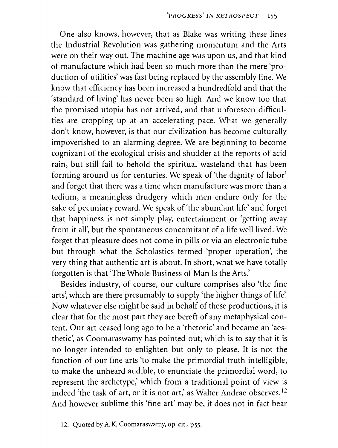One also knows, however, that as Blake was writing these lines the Industrial Revolution was gathering momentum and the Arts were on their way out. The machine age was upon us, and that kind of manufacture which had been so much more than the mere 'production of utilities' was fast being replaced by the assembly line. We know that efficiency has been increased a hundredfold and that the 'standard of living' has never been so high. And we know too that the promised utopia has not arrived, and that unforeseen difficulties are cropping up at an accelerating pace. What we generally don't know, however, is that our civilization has become culturally impoverished to an alarming degree. We are beginning to become cognizant of the ecological crisis and shudder at the reports of acid rain, but still fail to behold the spiritual wasteland that has been forming around us for centuries. We speak of 'the dignity of labor' and forget that there was a time when manufacture was more than a tedium, a meaningless drudgery which men endure only for the sake of pecuniary reward. We speak of 'the abundant life' and forget that happiness is not simply play, entertainment or 'getting away from it all', but the spontaneous concomitant of a life well lived. We forget that pleasure does not come in pills or via an electronic tube but through what the Scholastics termed 'proper operation', the very thing that authentic art is about. In short, what we have totally forgotten is that 'The Whole Business of Man Is the Arts.'

Besides industry, of course, our culture comprises also 'the fine arts', which are there presumably to supply 'the higher things of life'. Now whatever else might be said in behalf of these productions, it is clear that for the most part they are bereft of any metaphysical content. Our art ceased long ago to be a 'rhetoric' and became an 'aesthetic', as Coomaraswamy has pointed out; which is to say that it is no longer intended to enlighten but only to please. It is not the function of our fine arts 'to make the primordial truth intelligible, to make the unheard audible, to enunciate the primordial word, to represent the archetype,' which from a traditional point of view is indeed 'the task of art, or it is not art,' as Walter Andrae observes.<sup>12</sup> And however sublime this 'fine art' may be, it does not in fact bear

<sup>12.</sup> Quoted by A.K. Coomaraswamy, op. cit., p55.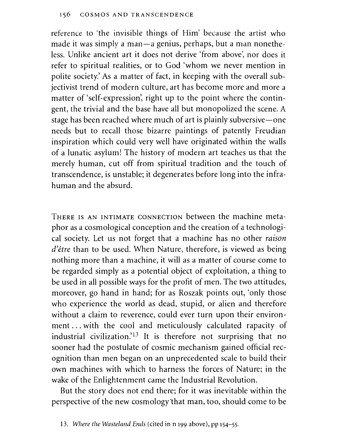reference to 'the invisible things of Him' because the artist who made it was simply a man-a genius, perhaps, but a man nonetheless. Unlike ancient art it does not derive 'from above', nor does it refer to spiritual realities, or to God 'whom we never mention in polite society.' As a matter of fact, in keeping with the overall subjectivist trend of modern culture, art has become more and more a matter of 'self-expression', right up to the point where the contingent, the trivial and the base have all but monopolized the scene. A stage has been reached where much of art is plainly subversive—one needs but to recall those bizarre paintings of patently Freudian inspiration which could very well have originated within the walls of a lunatic asylum! The history of modern art teaches us that the merely human, cut off from spiritual tradition and the touch of transcendence, is unstable; it degenerates before long into the infrahuman and the absurd.

THERE IS AN INTIMATE CONNECTION between the machine metaphor as a cosmological conception and the creation of a technological society. Let us not forget that a machine has no other *raison d'etre* than to be used. When Nature, therefore, is viewed as being nothing more than a machine, it will as a matter of course come to be regarded simply as a potential object of exploitation, a thing to be used in all possible ways for the profit of men. The two attitudes, moreover, go hand in hand; for as Roszak points out, 'only those who experience the world as dead, stupid, or alien and therefore without a claim to reverence, could ever turn upon their environment ... with the cool and meticulously calculated rapacity of industrial civilization.<sup>'13</sup> It is therefore not surprising that no sooner had the postulate of cosmic mechanism gained official recognition than men began on an unprecedented scale to build their own machines with which to harness the forces of Nature; in the wake of the Enlightenment came the Industrial Revolution.

But the story does not end there; for it was inevitable within the perspective of the new cosmology 'that man, too, should come to be

<sup>13.</sup> *Where the Wasteland Ends* (cited in n 199 above), pp 154-55.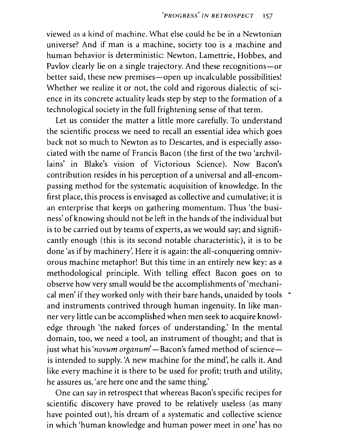viewed as a kind of machine. What else could he be in a Newtonian universe? And if man is a machine, society too is a machine and human behavior is deterministic: Newton, Lamettrie, Hobbes, and Pavlov clearly lie on a single trajectory. And these recognitions-or better said, these new premises-open up incalculable possibilities! Whether we realize it or not, the cold and rigorous dialectic of science in its concrete actuality leads step by step to the formation of a technological society in the full frightening sense of that term.

Let us consider the matter a little more carefully. To understand the scientific process we need to recall an essential idea which goes back not so much to Newton as to Descartes, and is especially associated with the name of Francis Bacon (the first of the two 'archvillains' in Blake's vision of Victorious Science). Now Bacon's contribution resides in his perception of a universal and all-encompassing method for the systematic acquisition of knowledge. In the first place, this process is envisaged as collective and cumulative; it is an enterprise that keeps on gathering momentum. Thus 'the business' of knowing should not be left in the hands of the individual but is to be carried out by teams of experts, as we would say; and significantly enough (this is its second notable characteristic), it is to be done 'as if by machinery'. Here it is again: the all-conquering omnivorous machine metaphor! But this time in an entirely new key: as a methodological principle. With telling effect Bacon goes on to observe how very small would be the accomplishments of'mechanical men' if they worked only with their bare hands, unaided by tools  $\cdot$ . and instruments contrived through human ingenuity. In like manner very little can be accomplished when men seek to acquire knowledge through 'the naked forces of understanding.' In the mental domain, too, we need a tool, an instrument of thought; and that is just what his 'novum organum'-Bacon's famed method of scienceis intended to supply. 'A new machine for the mind', he calls it. And like every machine it is there to be used for profit; truth and utility, he assures us, 'are here one and the same thing.'

One can say in retrospect that whereas Bacon's specific recipes for scientific discovery have proved to be relatively useless (as many have pointed out), his dream of a systematic and collective science in which 'human knowledge and human power meet in one' has no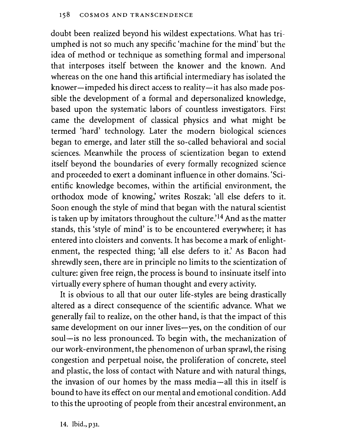doubt been realized beyond his wildest expectations. What has triumphed is not so much any specific 'machine for the mind' but the idea of method or technique as something formal and impersonal that interposes itself between the knower and the known. And whereas on the one hand this artificial intermediary has isolated the knower—impeded his direct access to reality—it has also made possible the development of a formal and depersonalized knowledge, based upon the systematic labors of countless investigators. First came the development of classical physics and what might be termed 'hard' technology. Later the modern biological sciences began to emerge, and later still the so-called behavioral and social sciences. Meanwhile the process of scientization began to extend itself beyond the boundaries of every formally recognized science and proceeded to exert a dominant influence in other domains. 'Scientific knowledge becomes, within the artificial environment, the orthodox mode of knowing; writes Roszak; 'all else defers to it. Soon enough the style of mind that began with the natural scientist is taken up by imitators throughout the culture.'<sup>14</sup> And as the matter stands, this 'style of mind' is to be encountered everywhere; it has entered into cloisters and convents. It has become a mark of enlightenment, the respected thing; 'all else defers to it.' As Bacon had shrewdly seen, there are in principle no limits to the scientization of culture: given free reign, the process is bound to insinuate itself into virtually every sphere of human thought and every activity.

It is obvious to all that our outer life-styles are being drastically altered as a direct consequence of the scientific advance. What we generally fail to realize, on the other hand, is that the impact of this same development on our inner lives-yes, on the condition of our soul-is no less pronounced. To begin with, the mechanization of our work-environment, the phenomenon of urban sprawl, the rising congestion and perpetual noise, the proliferation of concrete, steel and plastic, the loss of contact with Nature and with natural things, the invasion of our homes by the mass media-all this in itself is bound to have its effect on our mental and emotional condition. Add to this the uprooting of people from their ancestral environment, an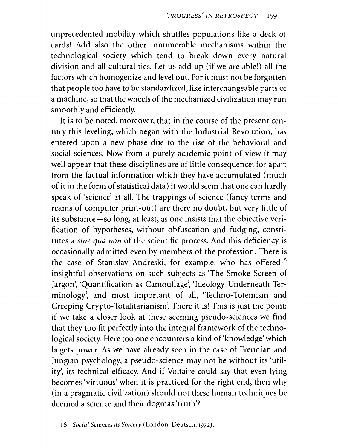unprecedented mobility which shuffles populations like a deck of cards! Add also the other innumerable mechanisms within the technological society which tend to break down every natural division and all cultural ties. Let us add up (if we are able!) all the factors which homogenize and level out. For it must not be forgotten that people too have to be standardized, like interchangeable parts of a machine, so that the wheels of the mechanized civilization may run smoothly and efficiently.

It is to be noted, moreover, that in the course of the present century this leveling, which began with the Industrial Revolution, has entered upon a new phase due to the rise of the behavioral and social sciences. Now from a purely academic point of view it may well appear that these disciplines are of little consequence; for apart from the factual information which they have accumulated (much of it in the form of statistical data) it would seem that one can hardly speak of 'science' at all. The trappings of science (fancy terms and reams of computer print-out) are there no doubt, but very little of its substance-so long, at least, as one insists that the objective verification of hypotheses, without obfuscation and fudging, constitutes a *sine qua non* of the scientific process. And this deficiency is occasionally admitted even by members of the profession. There is the case of Stanislav Andreski, for example, who has offered<sup>15</sup> insightful observations on such subjects as 'The Smoke Screen of Jargon', 'Quantification as Camouflage', 'Ideology Underneath Terminology', and most important of all, 'Techno-Totemism and Creeping Crypto-Totalitarianism'. There it is! This is just the point: if we take a closer look at these seeming pseudo-sciences we find that they too fit perfectly into the integral framework of the technological society. Here too one encounters a kind of'knowledge' which begets power. As we have already seen in the case of Freudian and Jungian psychology, a pseudo-science may not be without its 'utility', its technical efficacy. And if Voltaire could say that even lying becomes 'virtuous' when it is practiced for the right end, then why (in a pragmatic civilization) should not these human techniques be deemed a science and their dogmas 'truth'?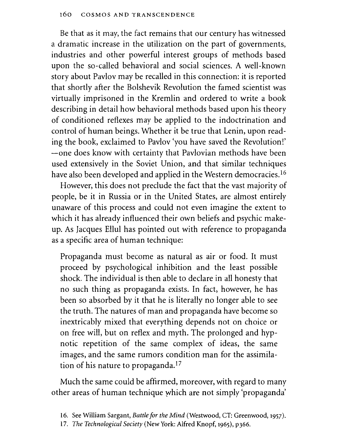Be that as it may, the fact remains that our century has witnessed a dramatic increase in the utilization on the part of governments, industries and other powerful interest groups of methods based upon the so-called behavioral and social sciences. A well-known story about Pavlov may be recalled in this connection: it is reported that shortly after the Bolshevik Revolution the famed scientist was virtually imprisoned in the Kremlin and ordered to write a book describing in detail how behavioral methods based upon his theory of conditioned reflexes may be applied to the indoctrination and control of human beings. Whether it be true that Lenin, upon reading the book, exclaimed to Pavlov 'you have saved the Revolution!' -one does know with certainty that Pavlovian methods have been used extensively in the Soviet Union, and that similar techniques have also been developed and applied in the Western democracies.<sup>16</sup>

However, this does not preclude the fact that the vast majority of people, be it in Russia or in the United States, are almost entirely unaware of this process and could not even imagine the extent to which it has already influenced their own beliefs and psychic makeup. As Jacques Ellul has pointed out with reference to propaganda as a specific area of human technique:

Propaganda must become as natural as air or food. It must proceed by psychological inhibition and the least possible shock. The individual is then able to declare in all honesty that no such thing as propaganda exists. In fact, however, he has been so absorbed by it that he is literally no longer able to see the truth. The natures of man and propaganda have become so inextricably mixed that everything depends not on choice or on free will, but on reflex and myth. The prolonged and hypnotic repetition of the same complex of ideas, the same images, and the same rumors condition man for the assimilation of his nature to propaganda.<sup>17</sup>

Much the same could be affirmed, moreover, with regard to many other areas of human technique which are not simply 'propaganda'

<sup>16.</sup> See William Sargant, *Battle for the Mind* (Westwood, CT: Greenwood, 1957).

<sup>17.</sup> *The Technological Society* (New York: Alfred Knopf, 1965), p366.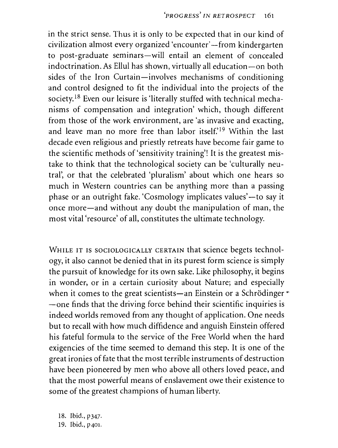in the strict sense. Thus it is only to be expected that in our kind of civilization almost every organized 'encounter'-from kindergarten to post-graduate seminars-will entail an element of concealed indoctrination. As Ellul has shown, virtually all education-on both sides of the Iron Curtain-involves mechanisms of conditioning and control designed to fit the individual into the projects of the society.<sup>18</sup> Even our leisure is 'literally stuffed with technical mechanisms of compensation and integration' which, though different from those of the work environment, are 'as invasive and exacting, and leave man no more free than labor itself.<sup>'19</sup> Within the last decade even religious and priestly retreats have become fair game to the scientific methods of 'sensitivity training'! It is the greatest mistake to think that the technological society can be 'culturally neutral', or that the celebrated 'pluralism' about which one hears so much in Western countries can be anything more than a passing phase or an outright fake. 'Cosmology implicates values'-to say it once more-and without any doubt the manipulation of man, the most vital 'resource' of all, constitutes the ultimate technology.

WHILE IT IS SOCIOLOGICALLY CERTAIN that science begets technology, it also cannot be denied that in its purest form science is simply the pursuit of knowledge for its own sake. Like philosophy, it begins in wonder, or in a certain curiosity about Nature; and especially when it comes to the great scientists—an Einstein or a Schrödinger  $\tau$ -one finds that the driving force behind their scientific inquiries is indeed worlds removed from any thought of application. One needs but to recall with how much diffidence and anguish Einstein offered his fateful formula to the service of the Free World when the hard exigencies of the time seemed to demand this step. It is one of the great ironies of fate that the most terrible instruments of destruction have been pioneered by men who above all others loved peace, and that the most powerful means of enslavement owe their existence to some of the greatest champions of human liberty.

18. Ibid., P347· 19. Ibid., p401.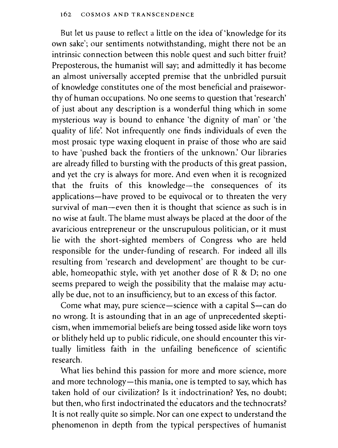But let us pause to reflect a little on the idea of 'knowledge for its own sake'; our sentiments notwithstanding, might there not be an intrinsic connection between this noble quest and such bitter fruit? Preposterous, the humanist will say; and admittedly it has become an almost universally accepted premise that the unbridled pursuit of knowledge constitutes one of the most beneficial and praiseworthy of human occupations. No one seems to question that 'research' of just about any description is a wonderful thing which in some mysterious way is bound to enhance 'the dignity of man' or 'the quality of life'. Not infrequently one finds individuals of even the most prosaic type waxing eloquent in praise of those who are said to have 'pushed back the frontiers of the unknown.' Our libraries are already filled to bursting with the products of this great passion, and yet the cry is always for more. And even when it is recognized that the fruits of this knowledge-the consequences of its applications-have proved to be equivocal or to threaten the very survival of man-even then it is thought that science as such is in no wise at fault. The blame must always be placed at the door of the avaricious entrepreneur or the unscrupulous politician, or it must lie with the short-sighted members of Congress who are held responsible for the under-funding of research. For indeed all ills resulting from 'research and development' are thought to be curable, homeopathic style, with yet another dose of R & D; no one seems prepared to weigh the possibility that the malaise may actually be due, not to an insufficiency, but to an excess of this factor.

Come what may, pure science-science with a capital S-can do no wrong. It is astounding that in an age of unprecedented skepticism, when immemorial beliefs are being tossed aside like worn toys or blithely held up to public ridicule, one should encounter this virtually limitless faith in the unfailing beneficence of scientific research.

What lies behind this passion for more and more science, more and more technology-this mania, one is tempted to say, which has taken hold of our civilization? Is it indoctrination? Yes, no doubt; but then, who first indoctrinated the educators and the technocrats? It is not really quite so simple. Nor can one expect to understand the phenomenon in depth from the typical perspectives of humanist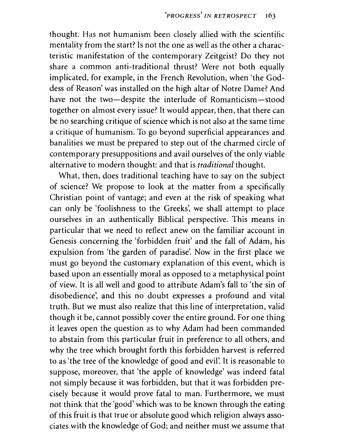thought. Has not humanism been closely allied with the scientific mentality from the start? Is not the one as well as the other a characteristic manifestation of the contemporary Zeitgeist? Do they not share a common anti-traditional thrust? Were not both equally implicated, for example, in the French Revolution, when 'the Goddess of Reason' was installed on the high altar of Notre Dame? And have not the two-despite the interlude of Romanticism-stood together on almost every issue? It would appear, then, that there can be no searching critique of science which is not also at the same time a critique of humanism. To go beyond superficial appearances and banalities we must be prepared to step out of the charmed circle of contemporary presuppositions and avail ourselves of the only viable alternative to modern thought: and that is *traditional* thought.

What, then, does traditional teaching have to say on the subject of science? We propose to look at the matter from a specifically Christian point of vantage; and even at the risk of speaking what can only be 'foolishness to the Greeks', we shall attempt to place ourselves in an authentically Biblical perspective. This means in particular that we need to reflect anew on the familiar account in Genesis concerning the 'forbidden fruit' and the fall of Adam, his expulsion from 'the garden of paradise'. Now in the first place we must go beyond the customary explanation of this event, which is based upon an essentially moral as opposed to a metaphysical point of view. It is all well and good to attribute Adam's fall to 'the sin of disobedience', and this no doubt expresses a profound and vital truth. But we must also realize that this line of interpretation, valid though it be, cannot possibly cover the entire ground. For one thing it leaves open the question as to why Adam had been commanded to abstain from this particular fruit in preference to all others, and why the tree which brought forth this forbidden harvest is referred to as 'the tree of the knowledge of good and evil'. It is reasonable to suppose, moreover, that 'the apple of knowledge' was indeed fatal not simply because it was forbidden, but that it was forbidden precisely because it would prove fatal to man. Furthermore, we must not think that the 'good' which was to be known through the eating of this fruit is that true or absolute good which religion always associates with the knowledge of God; and neither must we assume that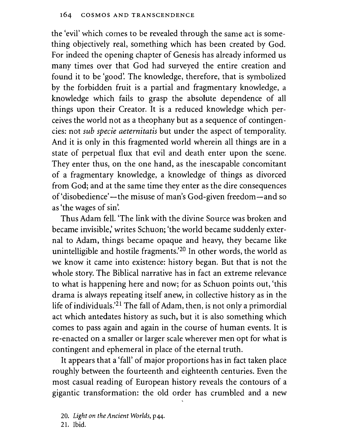the 'evil' which comes to be revealed through the same act is something objectively real, something which has been created by God. For indeed the opening chapter of Genesis has already informed us many times over that God had surveyed the entire creation and found it to be 'good'. The knowledge, therefore, that is symbolized by the forbidden fruit is a partial and fragmentary knowledge, a knowledge which fails to grasp the absolute dependence of all things upon their Creator. It is a reduced knowledge which perceives the world not as a theophany but as a sequence of contingencies: not *sub specie aeternitatis* but under the aspect of temporality. And it is only in this fragmented world wherein all things are in a state of perpetual flux that evil and death enter upon the scene. They enter thus, on the one hand, as the inescapable concomitant of a fragmentary knowledge, a knowledge of things as divorced from God; and at the same time they enter as the dire consequences of 'disobedience'—the misuse of man's God-given freedom—and so as 'the wages of sin'.

Thus Adam fell. 'The link with the divine Source was broken and became invisible; writes Schuon; 'the world became suddenly external to Adam, things became opaque and heavy, they became like unintelligible and hostile fragments.<sup>'20</sup> In other words, the world as we know it came into existence: history began. But that is not the whole story. The Biblical narrative has in fact an extreme relevance to what is happening here and now; for as Schuon points out, 'this drama is always repeating itself anew, in collective history as in the life of individuals.'21 The fall of Adam, then, is not only a primordial act which antedates history as such, but it is also something which comes to pass again and again in the course of human events. It is re-enacted on a smaller or larger scale wherever men opt for what is contingent and ephemeral in place of the eternal truth.

It appears that a 'fall' of major proportions has in fact taken place roughly between the fourteenth and eighteenth centuries. Even the most casual reading of European history reveals the contours of a gigantic transformation: the old order has crumbled and a new

21. Ibid.

<sup>20.</sup> *Light on the Ancient Worlds,* P44·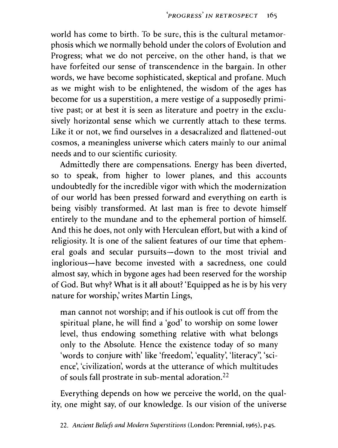world has come to birth. To be sure, this is the cultural metamorphosis which we normally behold under the colors of Evolution and Progress; what we do not perceive, on the other hand, is that we have forfeited our sense of transcendence in the bargain. In other words, we have become sophisticated, skeptical and profane. Much as we might wish to be enlightened, the wisdom of the ages has become for us a superstition, a mere vestige of a supposedly primitive past; or at best it is seen as literature and poetry in the exclusively horizontal sense which we currently attach to these terms. Like it or not, we find ourselves in a desacralized and flattened-out cosmos, a meaningless universe which caters mainly to our animal needs and to our scientific curiosity.

Admittedly there are compensations. Energy has been diverted, so to speak, from higher to lower planes, and this accounts undoubtedly for the incredible vigor with which the modernization of our world has been pressed forward and everything on earth is being visibly transformed. At last man is free to devote himself entirely to the mundane and to the ephemeral portion of himself. And this he does, not only with Herculean effort, but with a kind of religiosity. It is one of the salient features of our time that ephemeral goals and secular pursuits-down to the most trivial and inglorious-have become invested with a sacredness, one could almost say, which in bygone ages had been reserved for the worship of God. But why? What is it all about? 'Equipped as he is by his very nature for worship,' writes Martin Lings,

man cannot not worship; and if his outlook is cut off from the spiritual plane, he will find a 'god' to worship on some lower level, thus endowing something relative with what belongs only to the Absolute. Hence the existence today of so many 'words to conjure with' like 'freedom', 'equality', 'literacy", 'science', 'civilization', words at the utterance of which multitudes of souls fall prostrate in sub-mental adoration.<sup>22</sup>

Everything depends on how we perceive the world, on the quality, one might say, of our knowledge. Is our vision of the universe

22. *Ancient Beliefs and Modern Superstitions* (London: Perennial, 1965), P45·